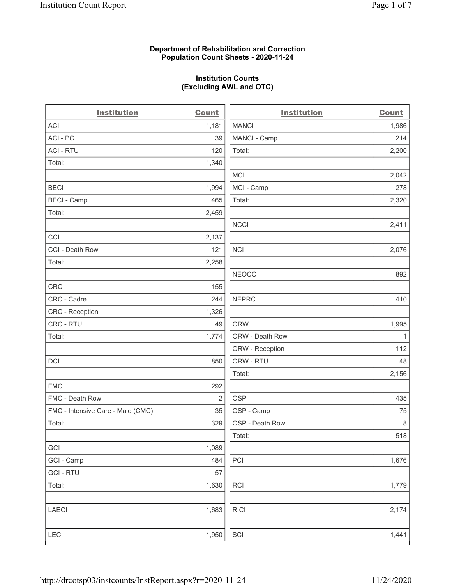### Department of Rehabilitation and Correction Population Count Sheets - 2020-11-24

### Institution Counts (Excluding AWL and OTC)

. .

| <b>Institution</b>                | <b>Count</b>   | <b>Institution</b> | <b>Count</b> |
|-----------------------------------|----------------|--------------------|--------------|
| <b>ACI</b>                        | 1,181          | <b>MANCI</b>       | 1,986        |
| ACI-PC                            | 39             | MANCI - Camp       | 214          |
| <b>ACI - RTU</b>                  | 120            | Total:             | 2,200        |
| Total:                            | 1,340          |                    |              |
|                                   |                | MCI                | 2,042        |
| <b>BECI</b>                       | 1,994          | MCI - Camp         | 278          |
| <b>BECI - Camp</b>                | 465            | Total:             | 2,320        |
| Total:                            | 2,459          |                    |              |
|                                   |                | <b>NCCI</b>        | 2,411        |
| CCI                               | 2,137          |                    |              |
| CCI - Death Row                   | 121            | $\sf NCI$          | 2,076        |
| Total:                            | 2,258          |                    |              |
|                                   |                | <b>NEOCC</b>       | 892          |
| <b>CRC</b>                        | 155            |                    |              |
| CRC - Cadre                       | 244            | <b>NEPRC</b>       | 410          |
| CRC - Reception                   | 1,326          |                    |              |
| CRC - RTU                         | 49             | <b>ORW</b>         | 1,995        |
| Total:                            | 1,774          | ORW - Death Row    | $\mathbf{1}$ |
|                                   |                | ORW - Reception    | 112          |
| DCI                               | 850            | ORW - RTU          | 48           |
|                                   |                | Total:             | 2,156        |
| <b>FMC</b>                        | 292            |                    |              |
| FMC - Death Row                   | $\overline{2}$ | <b>OSP</b>         | 435          |
| FMC - Intensive Care - Male (CMC) | 35             | OSP - Camp         | 75           |
| Total:                            | 329            | OSP - Death Row    | 8            |
|                                   |                | Total:             | 518          |
| GCI                               | 1,089          |                    |              |
| GCI - Camp                        | 484            | PCI                | 1,676        |
| <b>GCI-RTU</b>                    | 57             |                    |              |
| Total:                            | 1,630          | RCI                | 1,779        |
| <b>LAECI</b>                      | 1,683          | <b>RICI</b>        | 2,174        |
| LECI                              | 1,950          | SCI                | 1,441        |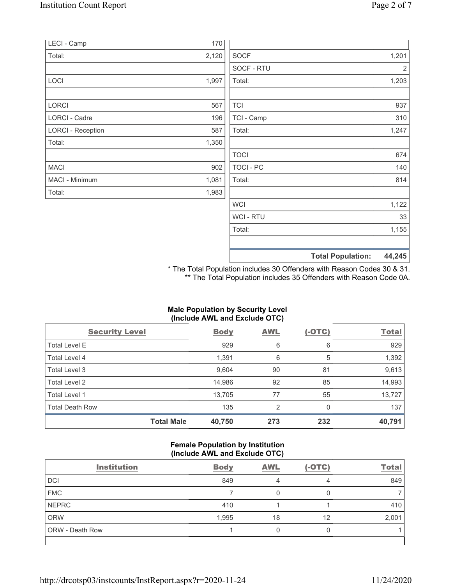|                          |       |                | <b>Total Population:</b> | 44,245 |
|--------------------------|-------|----------------|--------------------------|--------|
|                          |       |                |                          |        |
|                          |       | Total:         |                          | 1,155  |
|                          |       | <b>WCI-RTU</b> |                          | 33     |
|                          |       | <b>WCI</b>     |                          | 1,122  |
| Total:                   | 1,983 |                |                          |        |
| MACI - Minimum           | 1,081 | Total:         |                          | 814    |
| <b>MACI</b>              | 902   | TOCI - PC      |                          | 140    |
|                          |       | <b>TOCI</b>    |                          | 674    |
| Total:                   | 1,350 |                |                          |        |
| <b>LORCI - Reception</b> | 587   | Total:         |                          | 1,247  |
| <b>LORCI - Cadre</b>     | 196   | TCI - Camp     |                          | 310    |
| LORCI                    | 567   | <b>TCI</b>     |                          | 937    |
|                          |       | Total:         |                          | 1,203  |
| LOCI                     | 1,997 | SOCF - RTU     |                          | 2      |
| Total:                   | 2,120 | <b>SOCF</b>    |                          | 1,201  |
| LECI - Camp              | 170   |                |                          |        |
|                          |       |                |                          |        |

\* The Total Population includes 30 Offenders with Reason Codes 30 & 31. \*\* The Total Population includes 35 Offenders with Reason Code 0A.

### Male Population by Security Level (Include AWL and Exclude OTC)

| <b>Security Level</b>  |                   | <b>Body</b> | <b>AWL</b>     | $(-OTC)$ | <b>Total</b> |
|------------------------|-------------------|-------------|----------------|----------|--------------|
| Total Level E          |                   | 929         | 6              | 6        | 929          |
| Total Level 4          |                   | 1,391       | 6              | 5        | 1,392        |
| Total Level 3          |                   | 9,604       | 90             | 81       | 9,613        |
| Total Level 2          |                   | 14,986      | 92             | 85       | 14,993       |
| Total Level 1          |                   | 13,705      | 77             | 55       | 13,727       |
| <b>Total Death Row</b> |                   | 135         | $\overline{2}$ |          | 137          |
|                        | <b>Total Male</b> | 40,750      | 273            | 232      | 40,791       |

#### Female Population by Institution (Include AWL and Exclude OTC)

| <b>Institution</b>     | <b>Body</b> | <b>AWL</b> | $(-OTC)$ | <b>Total</b> |
|------------------------|-------------|------------|----------|--------------|
| <b>DCI</b>             | 849         | 4          | 4        | 849          |
| <b>FMC</b>             |             |            |          |              |
| <b>NEPRC</b>           | 410         |            |          | 410          |
| <b>ORW</b>             | 1,995       | 18         | 12       | 2,001        |
| <b>ORW</b> - Death Row |             |            |          |              |
|                        |             |            |          |              |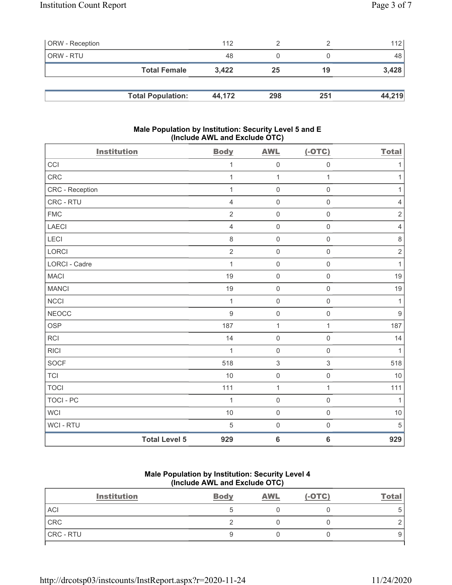| <b>ORW</b> - Reception |                          | 112    |     |     | 112    |
|------------------------|--------------------------|--------|-----|-----|--------|
| ORW - RTU              |                          | 48     |     |     | 48     |
|                        | <b>Total Female</b>      | 3,422  | 25  | 19  | 3,428  |
|                        |                          |        |     |     |        |
|                        | <b>Total Population:</b> | 44.172 | 298 | 251 | 44,219 |

### Male Population by Institution: Security Level 5 and E (Include AWL and Exclude OTC)

| <b>Institution</b> |                      | <b>Body</b>    | <b>AWL</b>          | $(-OTC)$            | <b>Total</b>     |
|--------------------|----------------------|----------------|---------------------|---------------------|------------------|
| CCI                |                      | 1              | $\mathsf 0$         | $\mathbf 0$         | 1                |
| CRC                |                      | 1              | $\mathbf{1}$        | $\mathbf{1}$        | $\mathbf{1}$     |
| CRC - Reception    |                      | 1              | $\mathbf 0$         | $\mathbf 0$         | $\mathbf{1}$     |
| CRC - RTU          |                      | $\overline{4}$ | $\mathsf 0$         | $\mathsf{O}\xspace$ | $\sqrt{4}$       |
| <b>FMC</b>         |                      | $\overline{2}$ | $\mathsf{O}\xspace$ | $\mathsf{O}\xspace$ | $\sqrt{2}$       |
| LAECI              |                      | $\overline{4}$ | $\mathsf 0$         | $\mathsf{O}\xspace$ | $\sqrt{4}$       |
| LECI               |                      | $\,8\,$        | $\mathsf{O}\xspace$ | $\mathsf{O}\xspace$ | $\,8\,$          |
| LORCI              |                      | $\overline{2}$ | $\mathbf 0$         | $\mathsf 0$         | $\sqrt{2}$       |
| LORCI - Cadre      |                      | $\mathbf{1}$   | $\mathsf 0$         | $\mathsf{O}\xspace$ | $\mathbf{1}$     |
| <b>MACI</b>        |                      | 19             | $\mathbf 0$         | $\mathbf 0$         | 19               |
| <b>MANCI</b>       |                      | 19             | $\mathsf 0$         | $\mathsf 0$         | 19               |
| <b>NCCI</b>        |                      | 1              | $\mathbf 0$         | $\mathbf 0$         | 1                |
| <b>NEOCC</b>       |                      | $9\,$          | $\mathsf 0$         | $\mathsf 0$         | $\boldsymbol{9}$ |
| <b>OSP</b>         |                      | 187            | 1                   | $\mathbf{1}$        | 187              |
| <b>RCI</b>         |                      | 14             | $\mathsf 0$         | $\mathbf 0$         | 14               |
| <b>RICI</b>        |                      | $\mathbf{1}$   | $\mathsf 0$         | $\mathsf 0$         | $\mathbf{1}$     |
| SOCF               |                      | 518            | $\,$ 3 $\,$         | $\sqrt{3}$          | 518              |
| <b>TCI</b>         |                      | 10             | $\mathsf 0$         | $\mathsf 0$         | 10               |
| <b>TOCI</b>        |                      | 111            | $\mathbf{1}$        | $\mathbf{1}$        | 111              |
| <b>TOCI - PC</b>   |                      | $\mathbf{1}$   | $\mathsf{O}\xspace$ | $\mathsf 0$         | $\mathbf{1}$     |
| <b>WCI</b>         |                      | 10             | $\mathbf 0$         | $\mathbf 0$         | $10$             |
| WCI - RTU          |                      | 5              | $\mathbf 0$         | $\mathsf 0$         | 5                |
|                    | <b>Total Level 5</b> | 929            | $\bf 6$             | $\bf 6$             | 929              |

# Male Population by Institution: Security Level 4 (Include AWL and Exclude OTC)

| <b>Institution</b> | <b>Body</b> | <b>AWL</b> | $(-OTC)$ | <b>Total</b> |
|--------------------|-------------|------------|----------|--------------|
| <b>ACI</b>         |             |            |          | 5            |
| CRC                |             |            |          |              |
| CRC - RTU          |             |            |          |              |
|                    |             |            |          |              |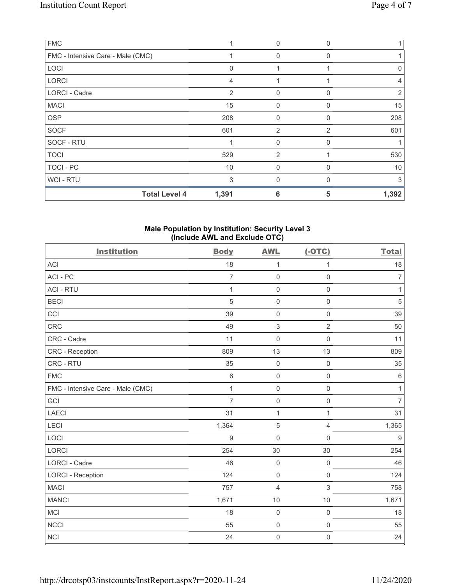| <b>FMC</b>                        |                | $\Omega$       |              |       |
|-----------------------------------|----------------|----------------|--------------|-------|
| FMC - Intensive Care - Male (CMC) |                | $\mathbf{0}$   | 0            |       |
| LOCI                              | $\Omega$       |                |              | 0     |
| <b>LORCI</b>                      | $\overline{4}$ |                |              | 4     |
| <b>LORCI - Cadre</b>              | 2              | $\mathbf 0$    | 0            | 2     |
| <b>MACI</b>                       | 15             | $\Omega$       | <sup>0</sup> | 15    |
| <b>OSP</b>                        | 208            | 0              | 0            | 208   |
| <b>SOCF</b>                       | 601            | $\overline{2}$ | 2            | 601   |
| SOCF - RTU                        |                | $\mathbf 0$    | O            |       |
| <b>TOCI</b>                       | 529            | $\overline{2}$ |              | 530   |
| TOCI - PC                         | 10             | $\Omega$       |              | 10    |
| WCI - RTU                         | 3              | $\Omega$       | ∩            | 3     |
| <b>Total Level 4</b>              | 1,391          | 6              | 5            | 1,392 |

### Male Population by Institution: Security Level 3 (Include AWL and Exclude OTC)

| <b>Institution</b>                | <b>Body</b>      | <b>AWL</b>          | $(-OTC)$            | <b>Total</b>   |
|-----------------------------------|------------------|---------------------|---------------------|----------------|
| <b>ACI</b>                        | 18               | $\mathbf 1$         | 1                   | 18             |
| ACI-PC                            | $\overline{7}$   | $\mathsf{O}\xspace$ | $\mathbf 0$         | $\overline{7}$ |
| <b>ACI - RTU</b>                  | 1                | $\mathsf{O}\xspace$ | $\mathsf{O}\xspace$ | $\mathbf{1}$   |
| <b>BECI</b>                       | 5                | $\mathsf 0$         | $\mathbf 0$         | $\sqrt{5}$     |
| CCI                               | 39               | 0                   | $\mathsf 0$         | 39             |
| CRC                               | 49               | $\sqrt{3}$          | $\overline{2}$      | 50             |
| CRC - Cadre                       | 11               | $\mathbf 0$         | $\mathsf{O}\xspace$ | 11             |
| CRC - Reception                   | 809              | 13                  | 13                  | 809            |
| CRC - RTU                         | 35               | $\mathsf{O}\xspace$ | $\mathsf{O}\xspace$ | 35             |
| <b>FMC</b>                        | $\,6\,$          | $\mathbf 0$         | $\mathsf{O}\xspace$ | $\,6\,$        |
| FMC - Intensive Care - Male (CMC) | $\mathbf{1}$     | $\mathsf 0$         | $\mathsf{O}\xspace$ | $\mathbf{1}$   |
| GCI                               | $\overline{7}$   | $\mathsf{O}\xspace$ | $\mathsf{O}\xspace$ | $\overline{7}$ |
| <b>LAECI</b>                      | 31               | $\mathbf{1}$        | 1                   | 31             |
| LECI                              | 1,364            | $\sqrt{5}$          | $\overline{4}$      | 1,365          |
| LOCI                              | $\boldsymbol{9}$ | $\mathsf{O}\xspace$ | $\mathbf 0$         | $9\,$          |
| LORCI                             | 254              | 30                  | 30                  | 254            |
| LORCI - Cadre                     | 46               | $\mathsf 0$         | $\mathsf{O}\xspace$ | 46             |
| <b>LORCI - Reception</b>          | 124              | $\mathsf 0$         | $\mathsf{O}\xspace$ | 124            |
| <b>MACI</b>                       | 757              | $\overline{4}$      | 3                   | 758            |
| <b>MANCI</b>                      | 1,671            | 10                  | 10                  | 1,671          |
| MCI                               | 18               | $\mathsf 0$         | $\mathsf{O}\xspace$ | 18             |
| <b>NCCI</b>                       | 55               | $\mathsf{O}\xspace$ | $\mathsf{O}\xspace$ | 55             |
| <b>NCI</b>                        | 24               | $\mathbf 0$         | $\mathsf 0$         | 24             |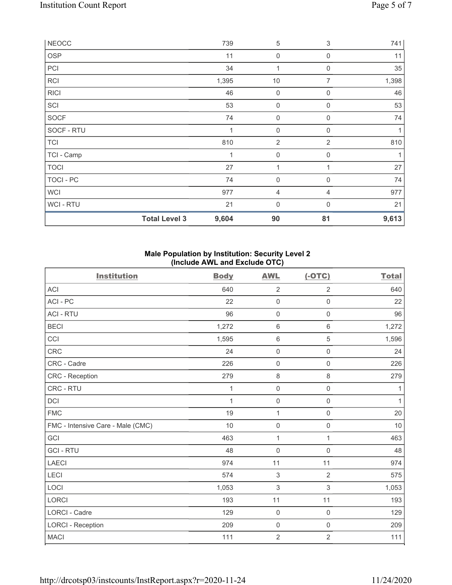| <b>NEOCC</b>   |                      | 739   | $\sqrt{5}$          | 3              | 741          |
|----------------|----------------------|-------|---------------------|----------------|--------------|
| OSP            |                      | 11    | $\boldsymbol{0}$    | $\mathbf 0$    | 11           |
| PCI            |                      | 34    | 1                   | 0              | 35           |
| <b>RCI</b>     |                      | 1,395 | $10$                | $\overline{7}$ | 1,398        |
| <b>RICI</b>    |                      | 46    | 0                   | $\mathbf 0$    | 46           |
| SCI            |                      | 53    | $\mathbf 0$         | $\mathbf 0$    | 53           |
| <b>SOCF</b>    |                      | 74    | $\mathsf{O}\xspace$ | 0              | 74           |
| SOCF - RTU     |                      | 1     | $\boldsymbol{0}$    | $\mathbf 0$    | $\mathbf{1}$ |
| <b>TCI</b>     |                      | 810   | $\sqrt{2}$          | 2              | 810          |
| TCI - Camp     |                      | 1     | $\mathsf{O}\xspace$ | $\mathbf 0$    | 1            |
| <b>TOCI</b>    |                      | 27    | 1                   |                | 27           |
| TOCI - PC      |                      | 74    | $\boldsymbol{0}$    | $\Omega$       | 74           |
| WCI            |                      | 977   | 4                   | 4              | 977          |
| <b>WCI-RTU</b> |                      | 21    | $\mathbf 0$         | $\Omega$       | 21           |
|                | <b>Total Level 3</b> | 9,604 | 90                  | 81             | 9,613        |

### Male Population by Institution: Security Level 2 (Include AWL and Exclude OTC)

| <b>Institution</b>                | <b>Body</b> | <b>AWL</b>          | $(-OTC)$            | <b>Total</b> |
|-----------------------------------|-------------|---------------------|---------------------|--------------|
| <b>ACI</b>                        | 640         | $\overline{2}$      | $\overline{2}$      | 640          |
| ACI-PC                            | 22          | $\mathsf{O}\xspace$ | $\mathbf 0$         | 22           |
| <b>ACI - RTU</b>                  | 96          | $\mathbf 0$         | $\mathsf{O}\xspace$ | 96           |
| <b>BECI</b>                       | 1,272       | $\,6\,$             | $\,6$               | 1,272        |
| CCI                               | 1,595       | $\,6\,$             | 5                   | 1,596        |
| <b>CRC</b>                        | 24          | $\mathsf{O}\xspace$ | $\mathsf{O}\xspace$ | 24           |
| CRC - Cadre                       | 226         | $\mathbf 0$         | $\mathsf 0$         | 226          |
| <b>CRC</b> - Reception            | 279         | $\,8\,$             | $\,8\,$             | 279          |
| CRC - RTU                         | 1           | $\mathbf 0$         | $\mathbf 0$         | 1            |
| DCI                               | 1           | $\mathbf 0$         | $\mathsf 0$         | 1            |
| <b>FMC</b>                        | 19          | $\mathbf 1$         | $\mathsf{O}\xspace$ | 20           |
| FMC - Intensive Care - Male (CMC) | 10          | $\mathsf{O}\xspace$ | $\mathbf 0$         | 10           |
| GCI                               | 463         | $\mathbf{1}$        | 1                   | 463          |
| <b>GCI-RTU</b>                    | 48          | $\mathsf{O}\xspace$ | $\mathbf 0$         | 48           |
| <b>LAECI</b>                      | 974         | 11                  | 11                  | 974          |
| LECI                              | 574         | $\sqrt{3}$          | $\overline{2}$      | 575          |
| LOCI                              | 1,053       | $\mathbf{3}$        | 3                   | 1,053        |
| <b>LORCI</b>                      | 193         | 11                  | 11                  | 193          |
| <b>LORCI - Cadre</b>              | 129         | $\mathbf 0$         | $\mathbf 0$         | 129          |
| <b>LORCI - Reception</b>          | 209         | $\mathsf{O}\xspace$ | $\mathsf 0$         | 209          |
| <b>MACI</b>                       | 111         | $\sqrt{2}$          | 2                   | 111          |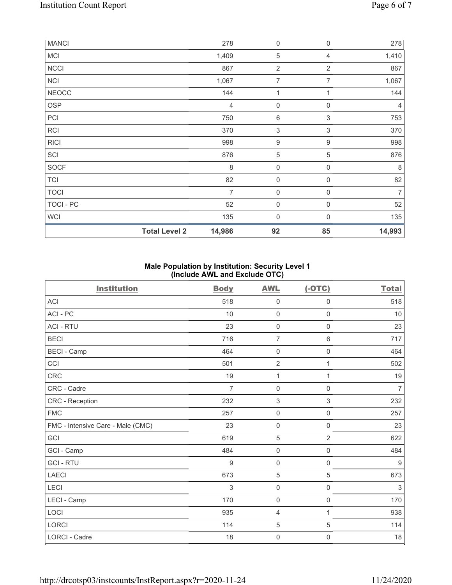|              | <b>Total Level 2</b> | 14,986 | 92                  | 85               | 14,993         |
|--------------|----------------------|--------|---------------------|------------------|----------------|
| <b>WCI</b>   |                      | 135    | $\mathbf 0$         | $\mathbf{0}$     | 135            |
| TOCI - PC    |                      | 52     | 0                   | 0                | 52             |
| <b>TOCI</b>  |                      | 7      | $\boldsymbol{0}$    | 0                | $\overline{7}$ |
| <b>TCI</b>   |                      | 82     | $\boldsymbol{0}$    | 0                | 82             |
| <b>SOCF</b>  |                      | 8      | $\mathsf{O}\xspace$ | $\mathbf 0$      | 8              |
| SCI          |                      | 876    | $\mathbf 5$         | $\,$ 5 $\,$      | 876            |
| <b>RICI</b>  |                      | 998    | $\boldsymbol{9}$    | $\boldsymbol{9}$ | 998            |
| <b>RCI</b>   |                      | 370    | $\,$ 3 $\,$         | $\mathfrak{S}$   | 370            |
| PCI          |                      | 750    | 6                   | 3                | 753            |
| <b>OSP</b>   |                      | 4      | $\mathbf 0$         | 0                | 4              |
| <b>NEOCC</b> |                      | 144    | 1                   | 1                | 144            |
| NCI          |                      | 1,067  | $\overline{7}$      | 7                | 1,067          |
| <b>NCCI</b>  |                      | 867    | $\overline{2}$      | $\overline{2}$   | 867            |
| <b>MCI</b>   |                      | 1,409  | $\sqrt{5}$          | 4                | 1,410          |
| <b>MANCI</b> |                      | 278    | $\boldsymbol{0}$    | 0                | 278            |

## Male Population by Institution: Security Level 1 (Include AWL and Exclude OTC)

| <b>Institution</b>                | <b>Body</b>    | <b>AWL</b>          | $(-OTC)$            | <b>Total</b>   |
|-----------------------------------|----------------|---------------------|---------------------|----------------|
| <b>ACI</b>                        | 518            | 0                   | 0                   | 518            |
| ACI - PC                          | 10             | $\mathsf{O}\xspace$ | $\mathsf{O}\xspace$ | 10             |
| <b>ACI - RTU</b>                  | 23             | $\mathbf 0$         | $\mathbf 0$         | 23             |
| <b>BECI</b>                       | 716            | $\overline{7}$      | 6                   | 717            |
| <b>BECI - Camp</b>                | 464            | $\mathbf 0$         | $\mathsf{O}\xspace$ | 464            |
| CCI                               | 501            | $\overline{2}$      | 1                   | 502            |
| <b>CRC</b>                        | 19             | 1                   | 1                   | 19             |
| CRC - Cadre                       | $\overline{7}$ | $\mathbf 0$         | $\mathsf 0$         | $\overline{7}$ |
| CRC - Reception                   | 232            | 3                   | 3                   | 232            |
| <b>FMC</b>                        | 257            | $\mathbf 0$         | $\mathbf 0$         | 257            |
| FMC - Intensive Care - Male (CMC) | 23             | $\mathsf{O}\xspace$ | 0                   | 23             |
| GCI                               | 619            | $\mathbf 5$         | $\overline{2}$      | 622            |
| GCI - Camp                        | 484            | $\mathsf{O}\xspace$ | $\mathbf 0$         | 484            |
| <b>GCI-RTU</b>                    | $9\,$          | $\mathsf{O}\xspace$ | $\mathbf 0$         | 9              |
| LAECI                             | 673            | $\overline{5}$      | 5                   | 673            |
| LECI                              | 3              | $\mathbf 0$         | $\mathbf 0$         | 3              |
| LECI - Camp                       | 170            | $\mathbf 0$         | $\mathbf 0$         | 170            |
| LOCI                              | 935            | $\overline{4}$      | 1                   | 938            |
| <b>LORCI</b>                      | 114            | $\mathbf 5$         | 5                   | 114            |
| <b>LORCI - Cadre</b>              | 18             | 0                   | 0                   | 18             |